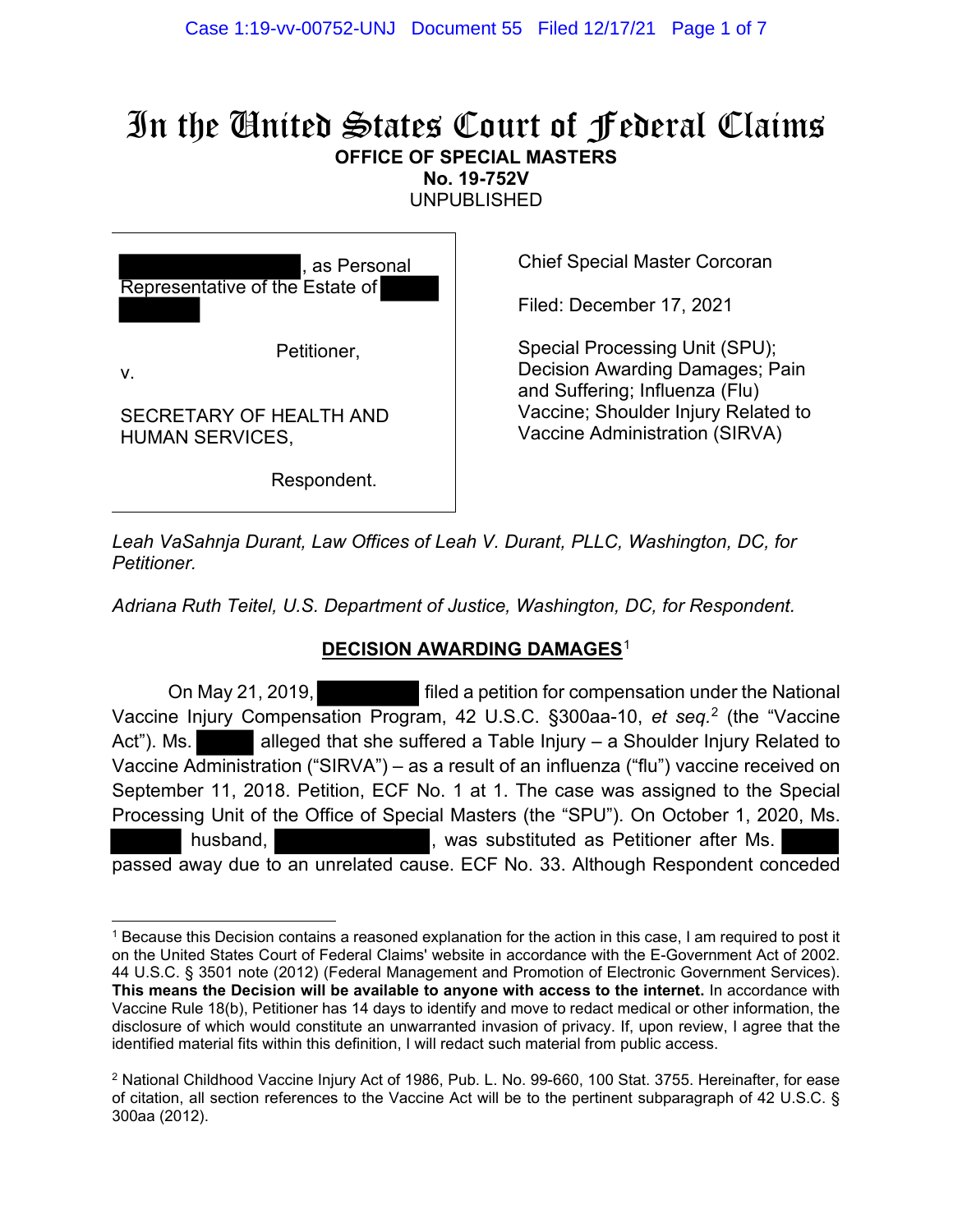# In the United States Court of Federal Claims **OFFICE OF SPECIAL MASTERS**

**No. 19-752V** 

UNPUBLISHED

as Personal Representative of the Estate of Petitioner, v.

SECRETARY OF HEALTH AND HUMAN SERVICES,

Respondent.

Chief Special Master Corcoran

Filed: December 17, 2021

Special Processing Unit (SPU); Decision Awarding Damages; Pain and Suffering; Influenza (Flu) Vaccine; Shoulder Injury Related to Vaccine Administration (SIRVA)

*Leah VaSahnja Durant, Law Offices of Leah V. Durant, PLLC, Washington, DC, for Petitioner.*

*Adriana Ruth Teitel, U.S. Department of Justice, Washington, DC, for Respondent.*

# **DECISION AWARDING DAMAGES**<sup>1</sup>

 On May 21, 2019, filed a petition for compensation under the National Vaccine Injury Compensation Program, 42 U.S.C. §300aa-10, *et seq.*<sup>2</sup> (the "Vaccine Act"). Ms. **Alleged that she suffered a Table Injury – a Shoulder Injury Related to** Vaccine Administration ("SIRVA") – as a result of an influenza ("flu") vaccine received on September 11, 2018. Petition, ECF No. 1 at 1. The case was assigned to the Special Processing Unit of the Office of Special Masters (the "SPU"). On October 1, 2020, Ms. husband, **Example 20** - Mas substituted as Petitioner after Ms. passed away due to an unrelated cause. ECF No. 33. Although Respondent conceded

<sup>1</sup> Because this Decision contains a reasoned explanation for the action in this case, I am required to post it on the United States Court of Federal Claims' website in accordance with the E-Government Act of 2002. 44 U.S.C. § 3501 note (2012) (Federal Management and Promotion of Electronic Government Services). **This means the Decision will be available to anyone with access to the internet.** In accordance with Vaccine Rule 18(b), Petitioner has 14 days to identify and move to redact medical or other information, the disclosure of which would constitute an unwarranted invasion of privacy. If, upon review, I agree that the identified material fits within this definition, I will redact such material from public access.

<sup>2</sup> National Childhood Vaccine Injury Act of 1986, Pub. L. No. 99-660, 100 Stat. 3755. Hereinafter, for ease of citation, all section references to the Vaccine Act will be to the pertinent subparagraph of 42 U.S.C. § 300aa (2012).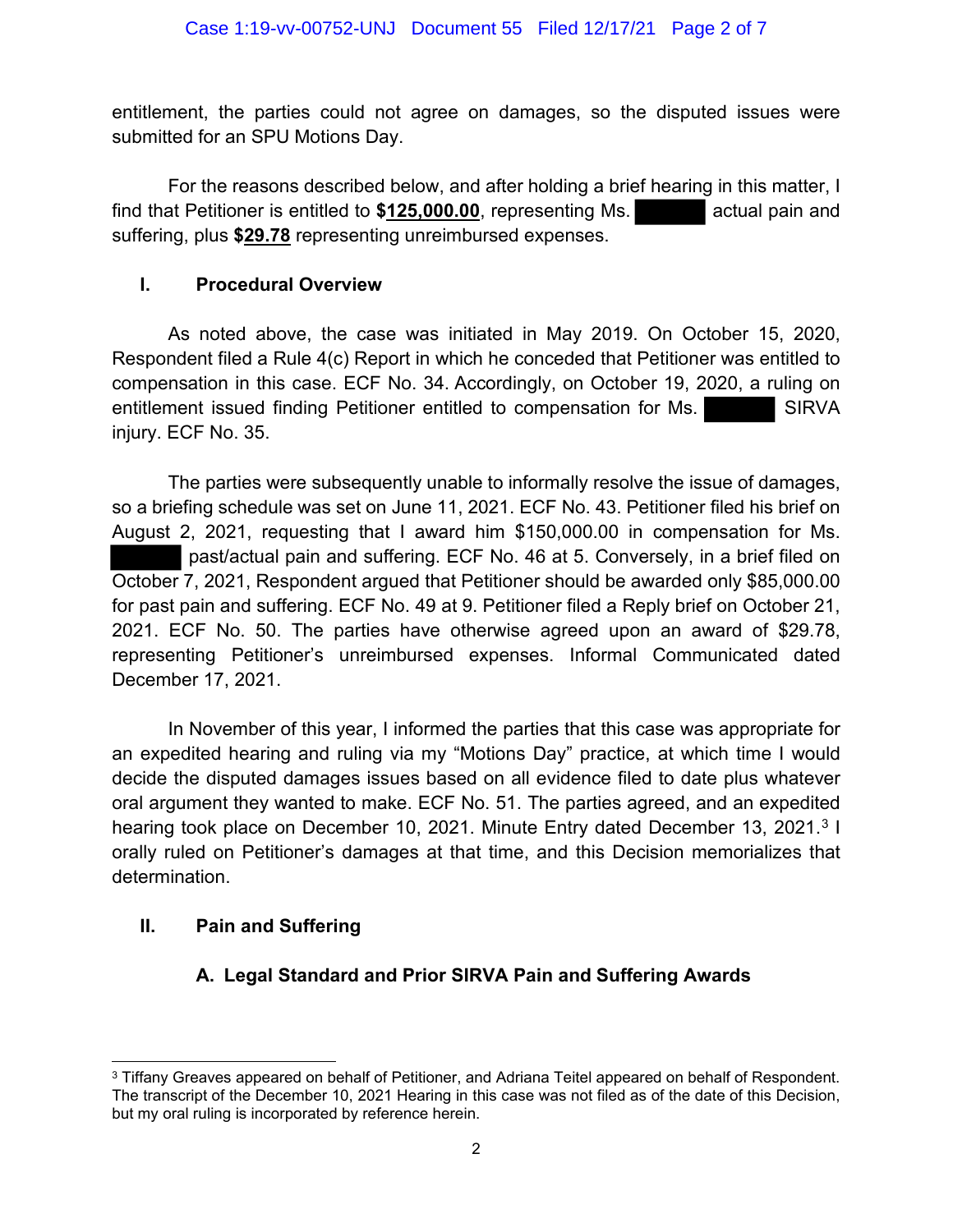entitlement, the parties could not agree on damages, so the disputed issues were submitted for an SPU Motions Day.

For the reasons described below, and after holding a brief hearing in this matter, I find that Petitioner is entitled to **\$125,000.00**, representing Ms. actual pain and suffering, plus **\$29.78** representing unreimbursed expenses.

### **I. Procedural Overview**

As noted above, the case was initiated in May 2019. On October 15, 2020, Respondent filed a Rule 4(c) Report in which he conceded that Petitioner was entitled to compensation in this case. ECF No. 34. Accordingly, on October 19, 2020, a ruling on entitlement issued finding Petitioner entitled to compensation for Ms. SIRVA injury. ECF No. 35.

The parties were subsequently unable to informally resolve the issue of damages, so a briefing schedule was set on June 11, 2021. ECF No. 43. Petitioner filed his brief on August 2, 2021, requesting that I award him \$150,000.00 in compensation for Ms. past/actual pain and suffering. ECF No. 46 at 5. Conversely, in a brief filed on October 7, 2021, Respondent argued that Petitioner should be awarded only \$85,000.00 for past pain and suffering. ECF No. 49 at 9. Petitioner filed a Reply brief on October 21, 2021. ECF No. 50. The parties have otherwise agreed upon an award of \$29.78, representing Petitioner's unreimbursed expenses. Informal Communicated dated December 17, 2021.

In November of this year, I informed the parties that this case was appropriate for an expedited hearing and ruling via my "Motions Day" practice, at which time I would decide the disputed damages issues based on all evidence filed to date plus whatever oral argument they wanted to make. ECF No. 51. The parties agreed, and an expedited hearing took place on December 10, 2021. Minute Entry dated December 13, 2021.<sup>3</sup> I orally ruled on Petitioner's damages at that time, and this Decision memorializes that determination.

# **II. Pain and Suffering**

# **A. Legal Standard and Prior SIRVA Pain and Suffering Awards**

<sup>&</sup>lt;sup>3</sup> Tiffany Greaves appeared on behalf of Petitioner, and Adriana Teitel appeared on behalf of Respondent. The transcript of the December 10, 2021 Hearing in this case was not filed as of the date of this Decision, but my oral ruling is incorporated by reference herein.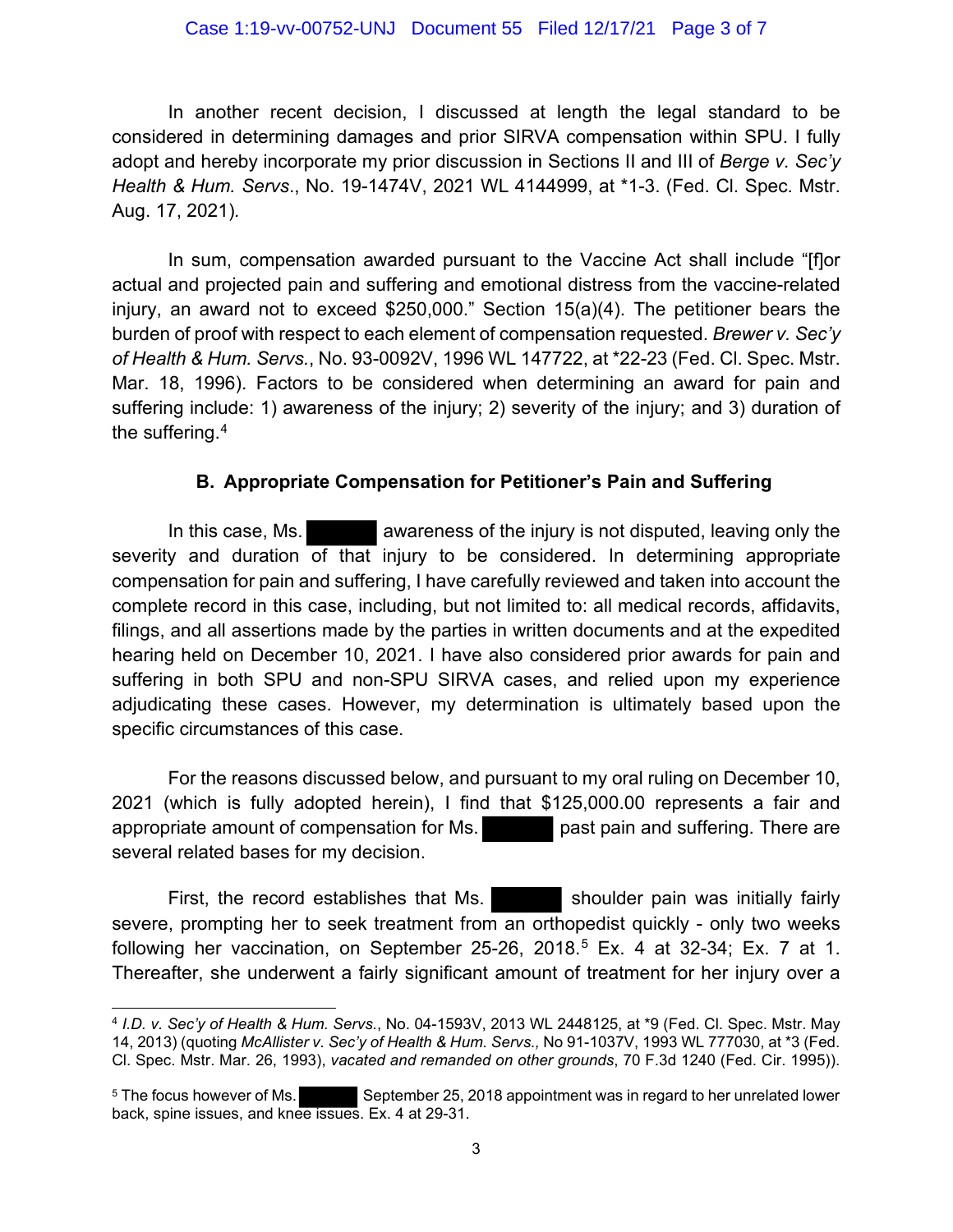#### Case 1:19-vv-00752-UNJ Document 55 Filed 12/17/21 Page 3 of 7

In another recent decision, I discussed at length the legal standard to be considered in determining damages and prior SIRVA compensation within SPU. I fully adopt and hereby incorporate my prior discussion in Sections II and III of *Berge v. Sec'y Health & Hum. Servs*., No. 19-1474V, 2021 WL 4144999, at \*1-3. (Fed. Cl. Spec. Mstr. Aug. 17, 2021)*.*

In sum, compensation awarded pursuant to the Vaccine Act shall include "[f]or actual and projected pain and suffering and emotional distress from the vaccine-related injury, an award not to exceed \$250,000." Section 15(a)(4). The petitioner bears the burden of proof with respect to each element of compensation requested. *Brewer v. Sec'y of Health & Hum. Servs.*, No. 93-0092V, 1996 WL 147722, at \*22-23 (Fed. Cl. Spec. Mstr. Mar. 18, 1996). Factors to be considered when determining an award for pain and suffering include: 1) awareness of the injury; 2) severity of the injury; and 3) duration of the suffering. $^{\rm 4}$ 

#### **B. Appropriate Compensation for Petitioner's Pain and Suffering**

In this case, Ms. **A canceled a** awareness of the injury is not disputed, leaving only the severity and duration of that injury to be considered. In determining appropriate compensation for pain and suffering, I have carefully reviewed and taken into account the complete record in this case, including, but not limited to: all medical records, affidavits, filings, and all assertions made by the parties in written documents and at the expedited hearing held on December 10, 2021. I have also considered prior awards for pain and suffering in both SPU and non-SPU SIRVA cases, and relied upon my experience adjudicating these cases. However, my determination is ultimately based upon the specific circumstances of this case.

For the reasons discussed below, and pursuant to my oral ruling on December 10, 2021 (which is fully adopted herein), I find that \$125,000.00 represents a fair and appropriate amount of compensation for Ms. past pain and suffering. There are several related bases for my decision.

First, the record establishes that Ms. Shoulder pain was initially fairly severe, prompting her to seek treatment from an orthopedist quickly - only two weeks following her vaccination, on September 25-26, 2018. <sup>5</sup> Ex. 4 at 32-34; Ex. 7 at 1. Thereafter, she underwent a fairly significant amount of treatment for her injury over a

<sup>4</sup> *I.D. v. Sec'y of Health & Hum. Servs.*, No. 04-1593V, 2013 WL 2448125, at \*9 (Fed. Cl. Spec. Mstr. May 14, 2013) (quoting *McAllister v. Sec'y of Health & Hum. Servs.,* No 91-1037V, 1993 WL 777030, at \*3 (Fed. Cl. Spec. Mstr. Mar. 26, 1993), *vacated and remanded on other grounds*, 70 F.3d 1240 (Fed. Cir. 1995)).

<sup>&</sup>lt;sup>5</sup> The focus however of Ms. September 25, 2018 appointment was in regard to her unrelated lower back, spine issues, and knee issues. Ex. 4 at 29-31.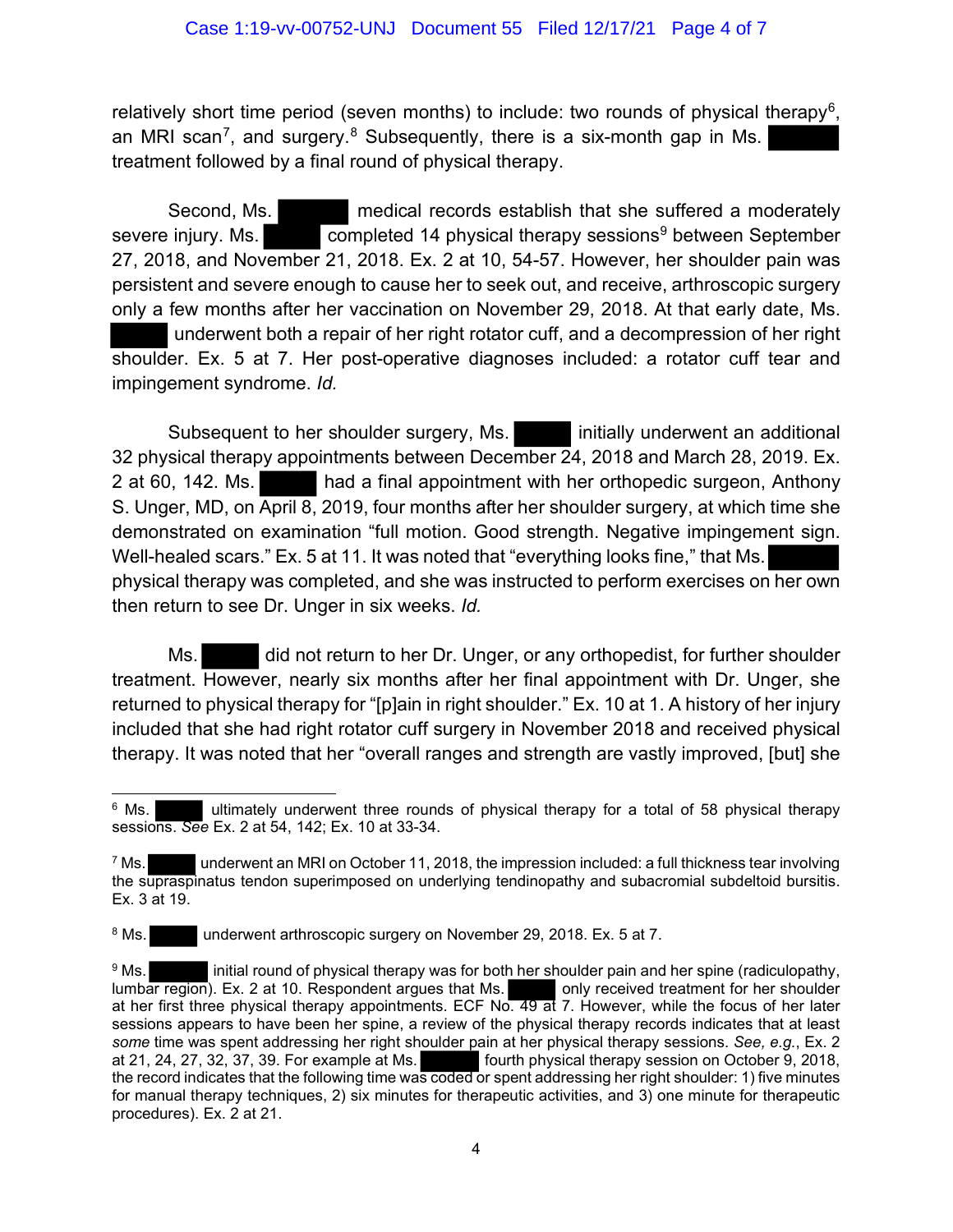relatively short time period (seven months) to include: two rounds of physical therapy<sup>6</sup>, an MRI scan<sup>7</sup>, and surgery.<sup>8</sup> Subsequently, there is a six-month gap in Ms. treatment followed by a final round of physical therapy.

Second, Ms. medical records establish that she suffered a moderately severe injury. Ms. completed 14 physical therapy sessions<sup>9</sup> between September 27, 2018, and November 21, 2018. Ex. 2 at 10, 54-57. However, her shoulder pain was persistent and severe enough to cause her to seek out, and receive, arthroscopic surgery only a few months after her vaccination on November 29, 2018. At that early date, Ms. underwent both a repair of her right rotator cuff, and a decompression of her right shoulder. Ex. 5 at 7. Her post-operative diagnoses included: a rotator cuff tear and impingement syndrome. *Id.*

Subsequent to her shoulder surgery, Ms. **initially underwent an additional** 32 physical therapy appointments between December 24, 2018 and March 28, 2019. Ex. 2 at 60, 142. Ms. had a final appointment with her orthopedic surgeon, Anthony S. Unger, MD, on April 8, 2019, four months after her shoulder surgery, at which time she demonstrated on examination "full motion. Good strength. Negative impingement sign. Well-healed scars." Ex. 5 at 11. It was noted that "everything looks fine," that Ms. physical therapy was completed, and she was instructed to perform exercises on her own then return to see Dr. Unger in six weeks. *Id.* 

Ms. did not return to her Dr. Unger, or any orthopedist, for further shoulder treatment. However, nearly six months after her final appointment with Dr. Unger, she returned to physical therapy for "[p]ain in right shoulder." Ex. 10 at 1. A history of her injury included that she had right rotator cuff surgery in November 2018 and received physical therapy. It was noted that her "overall ranges and strength are vastly improved, [but] she

<sup>8</sup> Ms. underwent arthroscopic surgery on November 29, 2018. Ex. 5 at 7.

<sup>&</sup>lt;sup>6</sup> Ms. ultimately underwent three rounds of physical therapy for a total of 58 physical therapy sessions. *See* Ex. 2 at 54, 142; Ex. 10 at 33-34.

 $^7$  Ms. underwent an MRI on October 11, 2018, the impression included: a full thickness tear involving the supraspinatus tendon superimposed on underlying tendinopathy and subacromial subdeltoid bursitis. Ex. 3 at 19.

<sup>&</sup>lt;sup>9</sup> Ms. initial round of physical therapy was for both her shoulder pain and her spine (radiculopathy, lumbar region). Ex. 2 at 10. Respondent argues that Ms. only received treatment for her shoulder at her first three physical therapy appointments. ECF No. 49 at 7. However, while the focus of her later sessions appears to have been her spine, a review of the physical therapy records indicates that at least *some* time was spent addressing her right shoulder pain at her physical therapy sessions. *See, e.g.*, Ex. 2 at 21, 24, 27, 32, 37, 39. For example at Ms. **Fourth physical therapy session on October 9, 2018**, the record indicates that the following time was coded or spent addressing her right shoulder: 1) five minutes for manual therapy techniques, 2) six minutes for therapeutic activities, and 3) one minute for therapeutic procedures). Ex. 2 at 21.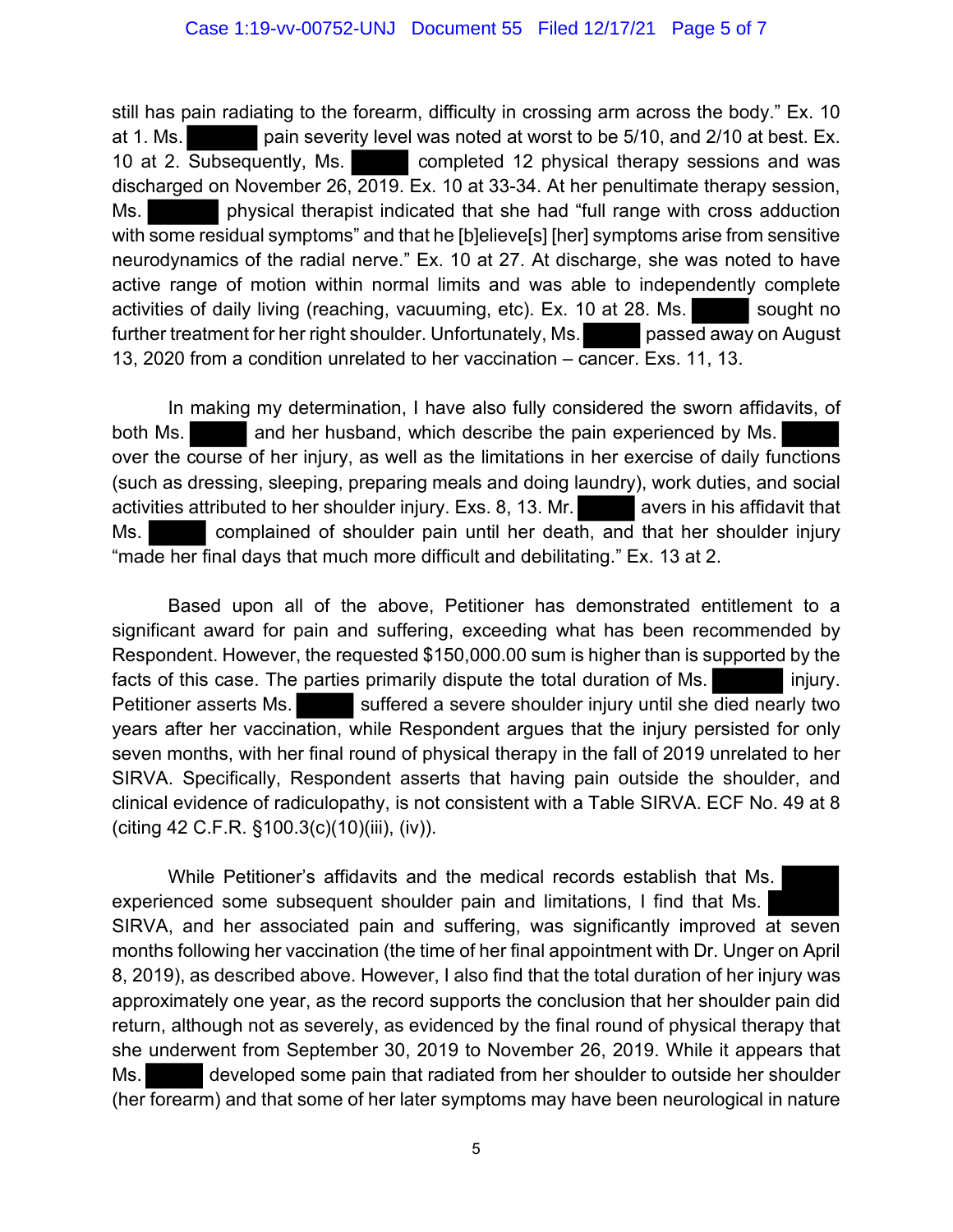still has pain radiating to the forearm, difficulty in crossing arm across the body." Ex. 10 at 1. Ms. pain severity level was noted at worst to be 5/10, and 2/10 at best. Ex. 10 at 2. Subsequently, Ms. completed 12 physical therapy sessions and was discharged on November 26, 2019. Ex. 10 at 33-34. At her penultimate therapy session, Ms. physical therapist indicated that she had "full range with cross adduction with some residual symptoms" and that he [b]elieve[s] [her] symptoms arise from sensitive neurodynamics of the radial nerve." Ex. 10 at 27. At discharge, she was noted to have active range of motion within normal limits and was able to independently complete activities of daily living (reaching, vacuuming, etc). Ex. 10 at 28. Ms. sought no further treatment for her right shoulder. Unfortunately, Ms. passed away on August 13, 2020 from a condition unrelated to her vaccination – cancer. Exs. 11, 13.

In making my determination, I have also fully considered the sworn affidavits, of both Ms. **All and her husband, which describe the pain experienced by Ms.** over the course of her injury, as well as the limitations in her exercise of daily functions (such as dressing, sleeping, preparing meals and doing laundry), work duties, and social activities attributed to her shoulder injury. Exs. 8, 13. Mr.  $\blacksquare$  avers in his affidavit that Ms. **Examplemed of shoulder pain until her death, and that her shoulder injury** "made her final days that much more difficult and debilitating." Ex. 13 at 2.

Based upon all of the above, Petitioner has demonstrated entitlement to a significant award for pain and suffering, exceeding what has been recommended by Respondent. However, the requested \$150,000.00 sum is higher than is supported by the facts of this case. The parties primarily dispute the total duration of Ms. Petitioner asserts Ms. Suffered a severe shoulder injury until she died nearly two years after her vaccination, while Respondent argues that the injury persisted for only seven months, with her final round of physical therapy in the fall of 2019 unrelated to her SIRVA. Specifically, Respondent asserts that having pain outside the shoulder, and clinical evidence of radiculopathy, is not consistent with a Table SIRVA. ECF No. 49 at 8 (citing 42 C.F.R. §100.3(c)(10)(iii), (iv)).

While Petitioner's affidavits and the medical records establish that Ms. experienced some subsequent shoulder pain and limitations, I find that Ms. SIRVA, and her associated pain and suffering, was significantly improved at seven months following her vaccination (the time of her final appointment with Dr. Unger on April 8, 2019), as described above. However, I also find that the total duration of her injury was approximately one year, as the record supports the conclusion that her shoulder pain did return, although not as severely, as evidenced by the final round of physical therapy that she underwent from September 30, 2019 to November 26, 2019. While it appears that Ms. developed some pain that radiated from her shoulder to outside her shoulder (her forearm) and that some of her later symptoms may have been neurological in nature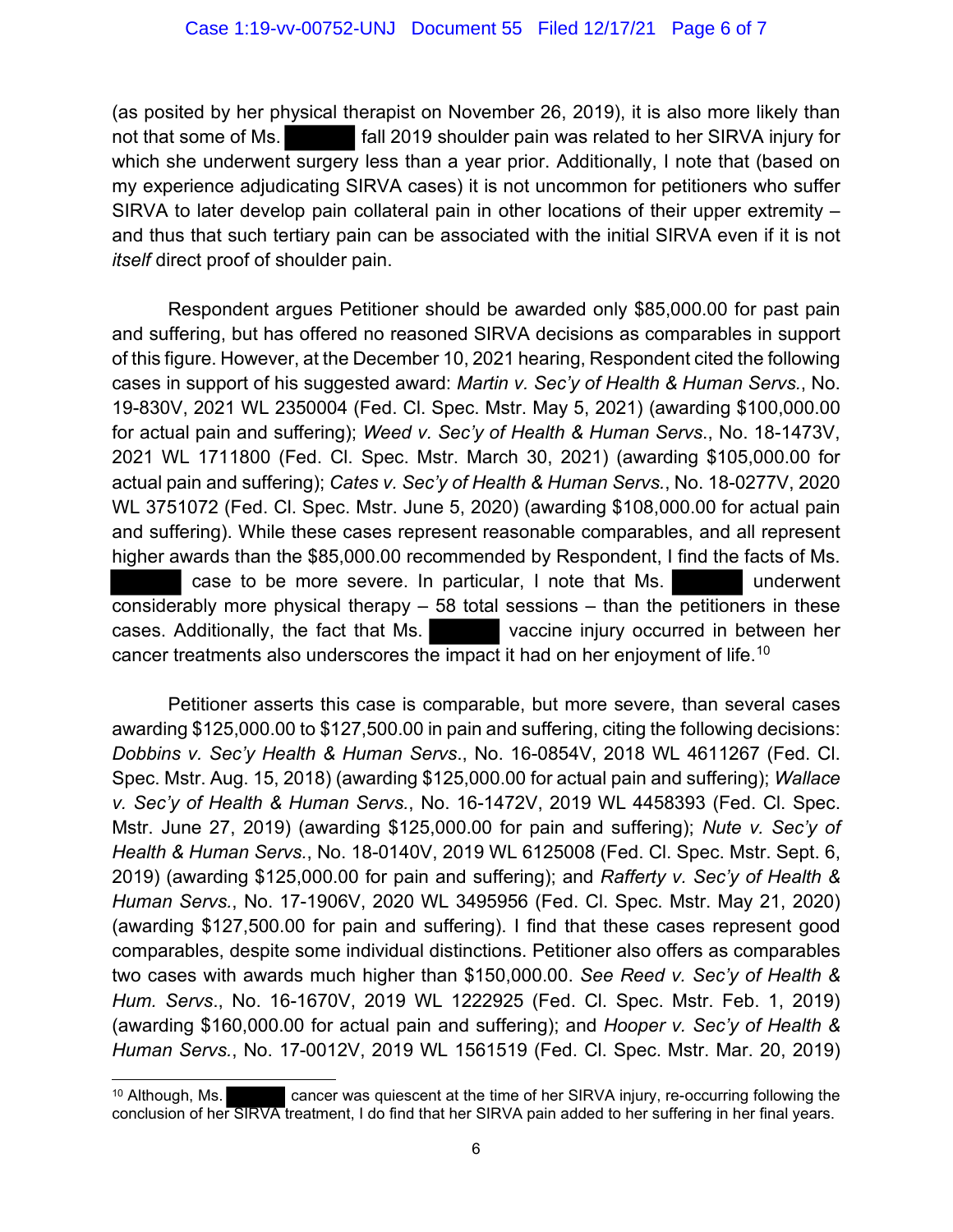(as posited by her physical therapist on November 26, 2019), it is also more likely than not that some of Ms. **Fall 2019** shoulder pain was related to her SIRVA injury for which she underwent surgery less than a year prior. Additionally, I note that (based on my experience adjudicating SIRVA cases) it is not uncommon for petitioners who suffer SIRVA to later develop pain collateral pain in other locations of their upper extremity – and thus that such tertiary pain can be associated with the initial SIRVA even if it is not *itself* direct proof of shoulder pain.

Respondent argues Petitioner should be awarded only \$85,000.00 for past pain and suffering, but has offered no reasoned SIRVA decisions as comparables in support of this figure. However, at the December 10, 2021 hearing, Respondent cited the following cases in support of his suggested award: *Martin v. Sec'y of Health & Human Servs.*, No. 19-830V, 2021 WL 2350004 (Fed. Cl. Spec. Mstr. May 5, 2021) (awarding \$100,000.00 for actual pain and suffering); *Weed v. Sec'y of Health & Human Servs*., No. 18-1473V, 2021 WL 1711800 (Fed. Cl. Spec. Mstr. March 30, 2021) (awarding \$105,000.00 for actual pain and suffering); *Cates v. Sec'y of Health & Human Servs.*, No. 18-0277V, 2020 WL 3751072 (Fed. Cl. Spec. Mstr. June 5, 2020) (awarding \$108,000.00 for actual pain and suffering). While these cases represent reasonable comparables, and all represent higher awards than the \$85,000.00 recommended by Respondent, I find the facts of Ms. case to be more severe. In particular, I note that Ms. considerably more physical therapy – 58 total sessions – than the petitioners in these cases. Additionally, the fact that Ms. vaccine injury occurred in between her cancer treatments also underscores the impact it had on her enjoyment of life. $^\mathrm{10}$ 

Petitioner asserts this case is comparable, but more severe, than several cases awarding \$125,000.00 to \$127,500.00 in pain and suffering, citing the following decisions: *Dobbins v. Sec'y Health & Human Servs*., No. 16-0854V, 2018 WL 4611267 (Fed. Cl. Spec. Mstr. Aug. 15, 2018) (awarding \$125,000.00 for actual pain and suffering); *Wallace v. Sec'y of Health & Human Servs.*, No. 16-1472V, 2019 WL 4458393 (Fed. Cl. Spec. Mstr. June 27, 2019) (awarding \$125,000.00 for pain and suffering); *Nute v. Sec'y of Health & Human Servs.*, No. 18-0140V, 2019 WL 6125008 (Fed. Cl. Spec. Mstr. Sept. 6, 2019) (awarding \$125,000.00 for pain and suffering); and *Rafferty v. Sec'y of Health & Human Servs.*, No. 17-1906V, 2020 WL 3495956 (Fed. Cl. Spec. Mstr. May 21, 2020) (awarding \$127,500.00 for pain and suffering). I find that these cases represent good comparables, despite some individual distinctions. Petitioner also offers as comparables two cases with awards much higher than \$150,000.00. *See Reed v. Sec'y of Health & Hum. Servs*., No. 16-1670V, 2019 WL 1222925 (Fed. Cl. Spec. Mstr. Feb. 1, 2019) (awarding \$160,000.00 for actual pain and suffering); and *Hooper v. Sec'y of Health & Human Servs.*, No. 17-0012V, 2019 WL 1561519 (Fed. Cl. Spec. Mstr. Mar. 20, 2019)

<sup>&</sup>lt;sup>10</sup> Although, Ms. cancer was quiescent at the time of her SIRVA injury, re-occurring following the conclusion of her SIRVA treatment, I do find that her SIRVA pain added to her suffering in her final years.